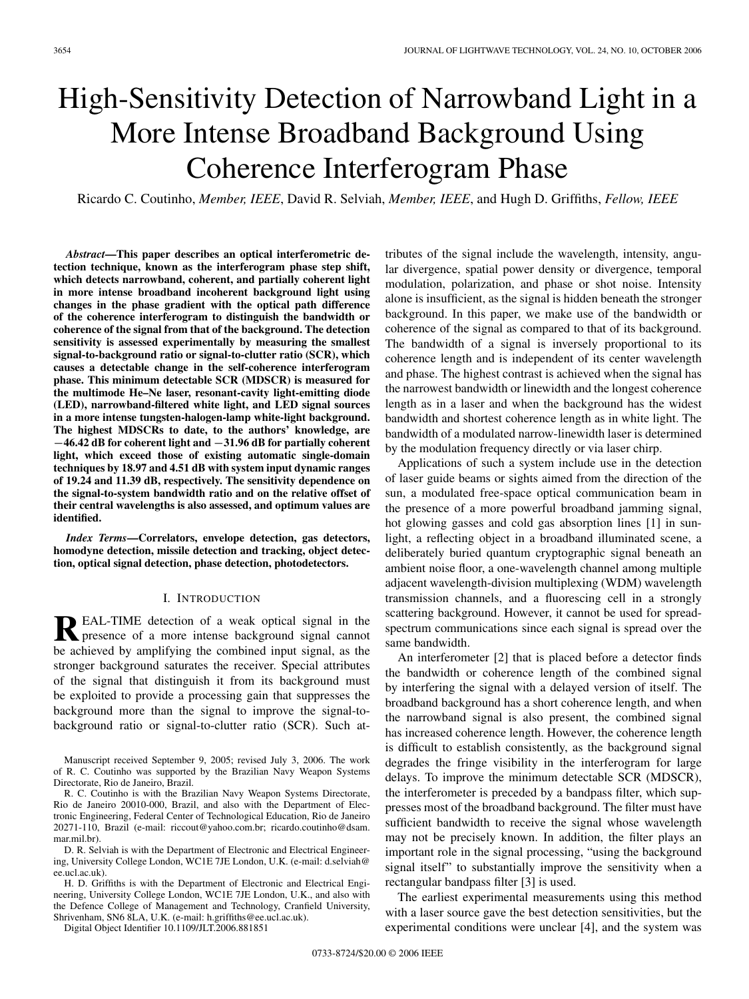# High-Sensitivity Detection of Narrowband Light in a More Intense Broadband Background Using Coherence Interferogram Phase

Ricardo C. Coutinho, *Member, IEEE*, David R. Selviah, *Member, IEEE*, and Hugh D. Griffiths, *Fellow, IEEE*

*Abstract***—This paper describes an optical interferometric detection technique, known as the interferogram phase step shift, which detects narrowband, coherent, and partially coherent light in more intense broadband incoherent background light using changes in the phase gradient with the optical path difference of the coherence interferogram to distinguish the bandwidth or coherence of the signal from that of the background. The detection sensitivity is assessed experimentally by measuring the smallest signal-to-background ratio or signal-to-clutter ratio (SCR), which causes a detectable change in the self-coherence interferogram phase. This minimum detectable SCR (MDSCR) is measured for the multimode He–Ne laser, resonant-cavity light-emitting diode (LED), narrowband-filtered white light, and LED signal sources in a more intense tungsten-halogen-lamp white-light background. The highest MDSCRs to date, to the authors' knowledge, are** *−***46.42 dB for coherent light and** *−***31.96 dB for partially coherent light, which exceed those of existing automatic single-domain techniques by 18.97 and 4.51 dB with system input dynamic ranges of 19.24 and 11.39 dB, respectively. The sensitivity dependence on the signal-to-system bandwidth ratio and on the relative offset of their central wavelengths is also assessed, and optimum values are identified.**

*Index Terms***—Correlators, envelope detection, gas detectors, homodyne detection, missile detection and tracking, object detection, optical signal detection, phase detection, photodetectors.**

## I. INTRODUCTION

**R**EAL-TIME detection of a weak optical signal in the presence of a more intense background signal cannot be achieved by amplifying the combined input signal, as the stronger background saturates the receiver. Special attributes of the signal that distinguish it from its background must be exploited to provide a processing gain that suppresses the background more than the signal to improve the signal-tobackground ratio or signal-to-clutter ratio (SCR). Such at-

Manuscript received September 9, 2005; revised July 3, 2006. The work of R. C. Coutinho was supported by the Brazilian Navy Weapon Systems Directorate, Rio de Janeiro, Brazil.

R. C. Coutinho is with the Brazilian Navy Weapon Systems Directorate, Rio de Janeiro 20010-000, Brazil, and also with the Department of Electronic Engineering, Federal Center of Technological Education, Rio de Janeiro 20271-110, Brazil (e-mail: riccout@yahoo.com.br; ricardo.coutinho@dsam. mar.mil.br).

D. R. Selviah is with the Department of Electronic and Electrical Engineering, University College London, WC1E 7JE London, U.K. (e-mail: d.selviah@ ee.ucl.ac.uk).

H. D. Griffiths is with the Department of Electronic and Electrical Engineering, University College London, WC1E 7JE London, U.K., and also with the Defence College of Management and Technology, Cranfield University, Shrivenham, SN6 8LA, U.K. (e-mail: h.griffiths@ee.ucl.ac.uk).

Digital Object Identifier 10.1109/JLT.2006.881851

tributes of the signal include the wavelength, intensity, angular divergence, spatial power density or divergence, temporal modulation, polarization, and phase or shot noise. Intensity alone is insufficient, as the signal is hidden beneath the stronger background. In this paper, we make use of the bandwidth or coherence of the signal as compared to that of its background. The bandwidth of a signal is inversely proportional to its coherence length and is independent of its center wavelength and phase. The highest contrast is achieved when the signal has the narrowest bandwidth or linewidth and the longest coherence length as in a laser and when the background has the widest bandwidth and shortest coherence length as in white light. The bandwidth of a modulated narrow-linewidth laser is determined by the modulation frequency directly or via laser chirp.

Applications of such a system include use in the detection of laser guide beams or sights aimed from the direction of the sun, a modulated free-space optical communication beam in the presence of a more powerful broadband jamming signal, hot glowing gasses and cold gas absorption lines [1] in sunlight, a reflecting object in a broadband illuminated scene, a deliberately buried quantum cryptographic signal beneath an ambient noise floor, a one-wavelength channel among multiple adjacent wavelength-division multiplexing (WDM) wavelength transmission channels, and a fluorescing cell in a strongly scattering background. However, it cannot be used for spreadspectrum communications since each signal is spread over the same bandwidth.

An interferometer [2] that is placed before a detector finds the bandwidth or coherence length of the combined signal by interfering the signal with a delayed version of itself. The broadband background has a short coherence length, and when the narrowband signal is also present, the combined signal has increased coherence length. However, the coherence length is difficult to establish consistently, as the background signal degrades the fringe visibility in the interferogram for large delays. To improve the minimum detectable SCR (MDSCR), the interferometer is preceded by a bandpass filter, which suppresses most of the broadband background. The filter must have sufficient bandwidth to receive the signal whose wavelength may not be precisely known. In addition, the filter plays an important role in the signal processing, "using the background signal itself" to substantially improve the sensitivity when a rectangular bandpass filter [3] is used.

The earliest experimental measurements using this method with a laser source gave the best detection sensitivities, but the experimental conditions were unclear [4], and the system was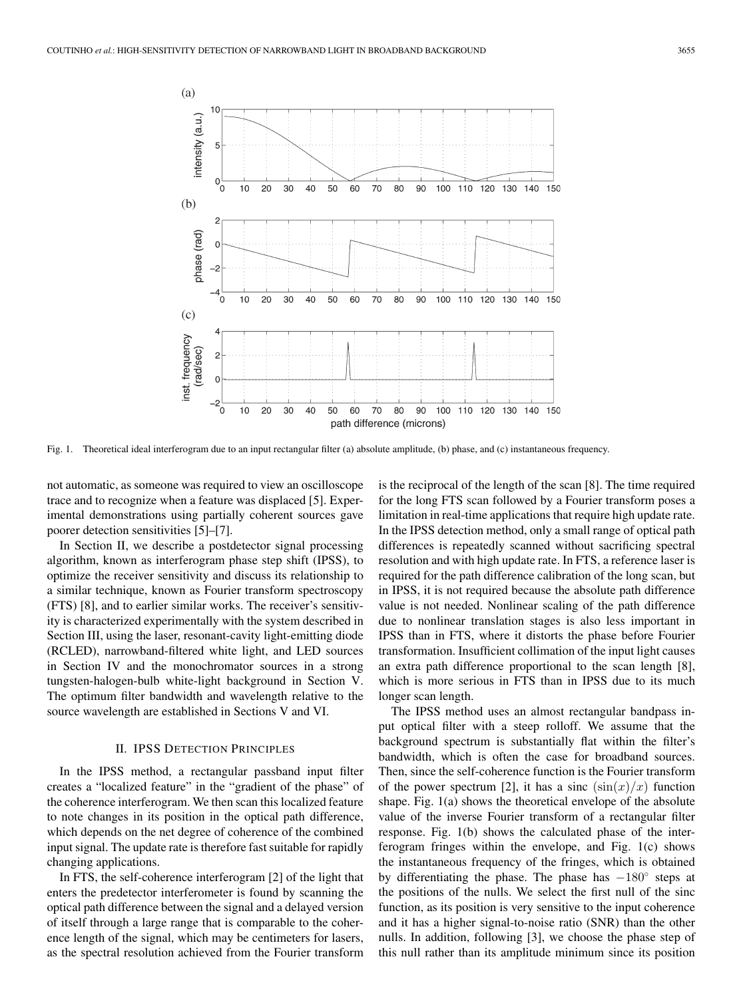

Fig. 1. Theoretical ideal interferogram due to an input rectangular filter (a) absolute amplitude, (b) phase, and (c) instantaneous frequency.

not automatic, as someone was required to view an oscilloscope trace and to recognize when a feature was displaced [5]. Experimental demonstrations using partially coherent sources gave poorer detection sensitivities [5]–[7].

In Section II, we describe a postdetector signal processing algorithm, known as interferogram phase step shift (IPSS), to optimize the receiver sensitivity and discuss its relationship to a similar technique, known as Fourier transform spectroscopy (FTS) [8], and to earlier similar works. The receiver's sensitivity is characterized experimentally with the system described in Section III, using the laser, resonant-cavity light-emitting diode (RCLED), narrowband-filtered white light, and LED sources in Section IV and the monochromator sources in a strong tungsten-halogen-bulb white-light background in Section V. The optimum filter bandwidth and wavelength relative to the source wavelength are established in Sections V and VI.

## II. IPSS DETECTION PRINCIPLES

In the IPSS method, a rectangular passband input filter creates a "localized feature" in the "gradient of the phase" of the coherence interferogram. We then scan this localized feature to note changes in its position in the optical path difference, which depends on the net degree of coherence of the combined input signal. The update rate is therefore fast suitable for rapidly changing applications.

In FTS, the self-coherence interferogram [2] of the light that enters the predetector interferometer is found by scanning the optical path difference between the signal and a delayed version of itself through a large range that is comparable to the coherence length of the signal, which may be centimeters for lasers, as the spectral resolution achieved from the Fourier transform

is the reciprocal of the length of the scan [8]. The time required for the long FTS scan followed by a Fourier transform poses a limitation in real-time applications that require high update rate. In the IPSS detection method, only a small range of optical path differences is repeatedly scanned without sacrificing spectral resolution and with high update rate. In FTS, a reference laser is required for the path difference calibration of the long scan, but in IPSS, it is not required because the absolute path difference value is not needed. Nonlinear scaling of the path difference due to nonlinear translation stages is also less important in IPSS than in FTS, where it distorts the phase before Fourier transformation. Insufficient collimation of the input light causes an extra path difference proportional to the scan length [8], which is more serious in FTS than in IPSS due to its much longer scan length.

The IPSS method uses an almost rectangular bandpass input optical filter with a steep rolloff. We assume that the background spectrum is substantially flat within the filter's bandwidth, which is often the case for broadband sources. Then, since the self-coherence function is the Fourier transform of the power spectrum [2], it has a sinc  $(\sin(x)/x)$  function shape. Fig. 1(a) shows the theoretical envelope of the absolute value of the inverse Fourier transform of a rectangular filter response. Fig. 1(b) shows the calculated phase of the interferogram fringes within the envelope, and Fig. 1(c) shows the instantaneous frequency of the fringes, which is obtained by differentiating the phase. The phase has  $-180°$  steps at the positions of the nulls. We select the first null of the sinc function, as its position is very sensitive to the input coherence and it has a higher signal-to-noise ratio (SNR) than the other nulls. In addition, following [3], we choose the phase step of this null rather than its amplitude minimum since its position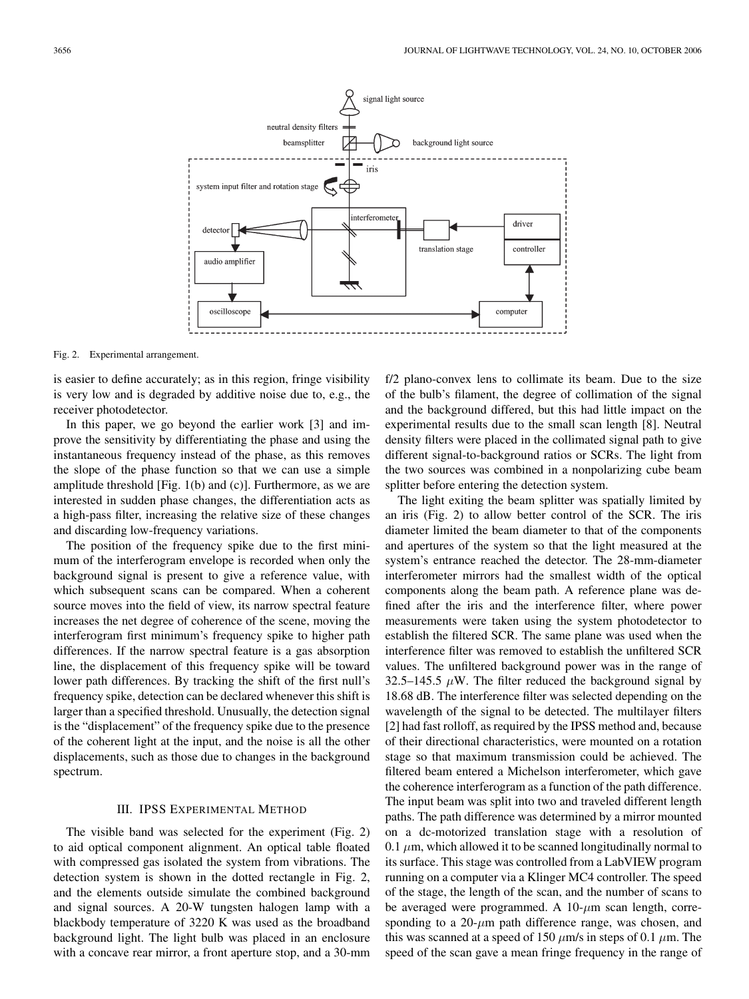

Fig. 2. Experimental arrangement.

is easier to define accurately; as in this region, fringe visibility is very low and is degraded by additive noise due to, e.g., the receiver photodetector.

In this paper, we go beyond the earlier work [3] and improve the sensitivity by differentiating the phase and using the instantaneous frequency instead of the phase, as this removes the slope of the phase function so that we can use a simple amplitude threshold [Fig. 1(b) and (c)]. Furthermore, as we are interested in sudden phase changes, the differentiation acts as a high-pass filter, increasing the relative size of these changes and discarding low-frequency variations.

The position of the frequency spike due to the first minimum of the interferogram envelope is recorded when only the background signal is present to give a reference value, with which subsequent scans can be compared. When a coherent source moves into the field of view, its narrow spectral feature increases the net degree of coherence of the scene, moving the interferogram first minimum's frequency spike to higher path differences. If the narrow spectral feature is a gas absorption line, the displacement of this frequency spike will be toward lower path differences. By tracking the shift of the first null's frequency spike, detection can be declared whenever this shift is larger than a specified threshold. Unusually, the detection signal is the "displacement" of the frequency spike due to the presence of the coherent light at the input, and the noise is all the other displacements, such as those due to changes in the background spectrum.

## III. IPSS EXPERIMENTAL METHOD

The visible band was selected for the experiment (Fig. 2) to aid optical component alignment. An optical table floated with compressed gas isolated the system from vibrations. The detection system is shown in the dotted rectangle in Fig. 2, and the elements outside simulate the combined background and signal sources. A 20-W tungsten halogen lamp with a blackbody temperature of 3220 K was used as the broadband background light. The light bulb was placed in an enclosure with a concave rear mirror, a front aperture stop, and a 30-mm f/2 plano-convex lens to collimate its beam. Due to the size of the bulb's filament, the degree of collimation of the signal and the background differed, but this had little impact on the experimental results due to the small scan length [8]. Neutral density filters were placed in the collimated signal path to give different signal-to-background ratios or SCRs. The light from the two sources was combined in a nonpolarizing cube beam splitter before entering the detection system.

The light exiting the beam splitter was spatially limited by an iris (Fig. 2) to allow better control of the SCR. The iris diameter limited the beam diameter to that of the components and apertures of the system so that the light measured at the system's entrance reached the detector. The 28-mm-diameter interferometer mirrors had the smallest width of the optical components along the beam path. A reference plane was defined after the iris and the interference filter, where power measurements were taken using the system photodetector to establish the filtered SCR. The same plane was used when the interference filter was removed to establish the unfiltered SCR values. The unfiltered background power was in the range of 32.5–145.5  $\mu$ W. The filter reduced the background signal by 18.68 dB. The interference filter was selected depending on the wavelength of the signal to be detected. The multilayer filters [2] had fast rolloff, as required by the IPSS method and, because of their directional characteristics, were mounted on a rotation stage so that maximum transmission could be achieved. The filtered beam entered a Michelson interferometer, which gave the coherence interferogram as a function of the path difference. The input beam was split into two and traveled different length paths. The path difference was determined by a mirror mounted on a dc-motorized translation stage with a resolution of 0.1  $\mu$ m, which allowed it to be scanned longitudinally normal to its surface. This stage was controlled from a LabVIEW program running on a computer via a Klinger MC4 controller. The speed of the stage, the length of the scan, and the number of scans to be averaged were programmed. A  $10-\mu m$  scan length, corresponding to a  $20-\mu m$  path difference range, was chosen, and this was scanned at a speed of 150  $\mu$ m/s in steps of 0.1  $\mu$ m. The speed of the scan gave a mean fringe frequency in the range of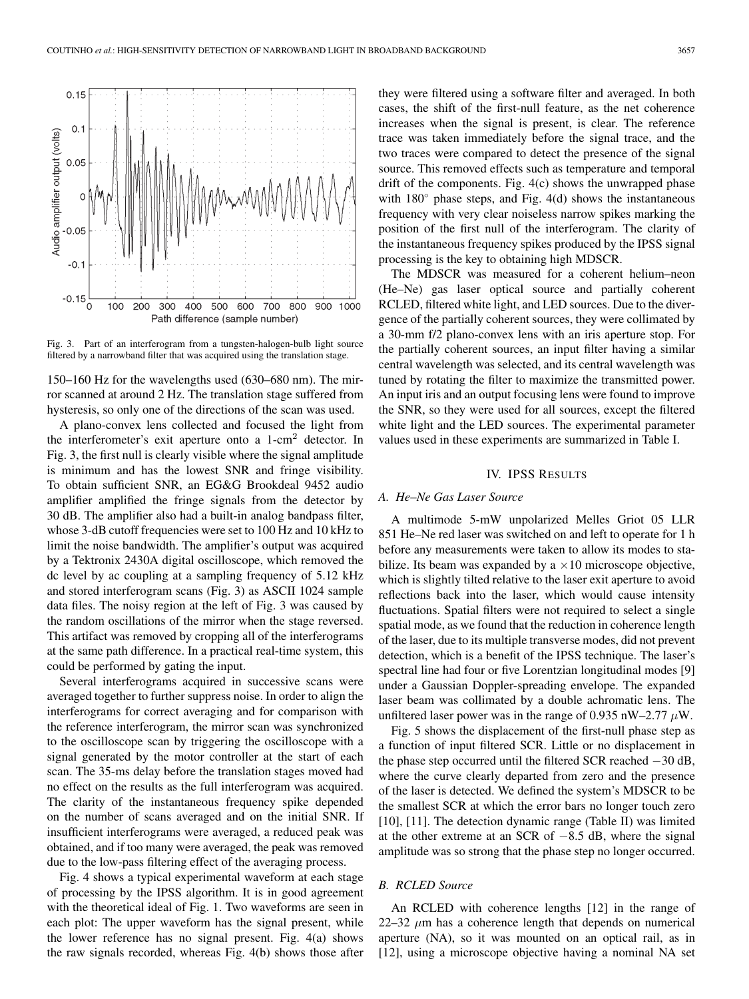

Fig. 3. Part of an interferogram from a tungsten-halogen-bulb light source filtered by a narrowband filter that was acquired using the translation stage.

150–160 Hz for the wavelengths used (630–680 nm). The mirror scanned at around 2 Hz. The translation stage suffered from hysteresis, so only one of the directions of the scan was used.

A plano-convex lens collected and focused the light from the interferometer's exit aperture onto a  $1$ -cm<sup>2</sup> detector. In Fig. 3, the first null is clearly visible where the signal amplitude is minimum and has the lowest SNR and fringe visibility. To obtain sufficient SNR, an EG&G Brookdeal 9452 audio amplifier amplified the fringe signals from the detector by 30 dB. The amplifier also had a built-in analog bandpass filter, whose 3-dB cutoff frequencies were set to 100 Hz and 10 kHz to limit the noise bandwidth. The amplifier's output was acquired by a Tektronix 2430A digital oscilloscope, which removed the dc level by ac coupling at a sampling frequency of 5.12 kHz and stored interferogram scans (Fig. 3) as ASCII 1024 sample data files. The noisy region at the left of Fig. 3 was caused by the random oscillations of the mirror when the stage reversed. This artifact was removed by cropping all of the interferograms at the same path difference. In a practical real-time system, this could be performed by gating the input.

Several interferograms acquired in successive scans were averaged together to further suppress noise. In order to align the interferograms for correct averaging and for comparison with the reference interferogram, the mirror scan was synchronized to the oscilloscope scan by triggering the oscilloscope with a signal generated by the motor controller at the start of each scan. The 35-ms delay before the translation stages moved had no effect on the results as the full interferogram was acquired. The clarity of the instantaneous frequency spike depended on the number of scans averaged and on the initial SNR. If insufficient interferograms were averaged, a reduced peak was obtained, and if too many were averaged, the peak was removed due to the low-pass filtering effect of the averaging process.

Fig. 4 shows a typical experimental waveform at each stage of processing by the IPSS algorithm. It is in good agreement with the theoretical ideal of Fig. 1. Two waveforms are seen in each plot: The upper waveform has the signal present, while the lower reference has no signal present. Fig. 4(a) shows the raw signals recorded, whereas Fig. 4(b) shows those after they were filtered using a software filter and averaged. In both cases, the shift of the first-null feature, as the net coherence increases when the signal is present, is clear. The reference trace was taken immediately before the signal trace, and the two traces were compared to detect the presence of the signal source. This removed effects such as temperature and temporal drift of the components. Fig. 4(c) shows the unwrapped phase with  $180^\circ$  phase steps, and Fig. 4(d) shows the instantaneous frequency with very clear noiseless narrow spikes marking the position of the first null of the interferogram. The clarity of the instantaneous frequency spikes produced by the IPSS signal processing is the key to obtaining high MDSCR.

The MDSCR was measured for a coherent helium–neon (He–Ne) gas laser optical source and partially coherent RCLED, filtered white light, and LED sources. Due to the divergence of the partially coherent sources, they were collimated by a 30-mm f/2 plano-convex lens with an iris aperture stop. For the partially coherent sources, an input filter having a similar central wavelength was selected, and its central wavelength was tuned by rotating the filter to maximize the transmitted power. An input iris and an output focusing lens were found to improve the SNR, so they were used for all sources, except the filtered white light and the LED sources. The experimental parameter values used in these experiments are summarized in Table I.

#### IV. IPSS RESULTS

## *A. He–Ne Gas Laser Source*

A multimode 5-mW unpolarized Melles Griot 05 LLR 851 He–Ne red laser was switched on and left to operate for 1 h before any measurements were taken to allow its modes to stabilize. Its beam was expanded by a  $\times 10$  microscope objective, which is slightly tilted relative to the laser exit aperture to avoid reflections back into the laser, which would cause intensity fluctuations. Spatial filters were not required to select a single spatial mode, as we found that the reduction in coherence length of the laser, due to its multiple transverse modes, did not prevent detection, which is a benefit of the IPSS technique. The laser's spectral line had four or five Lorentzian longitudinal modes [9] under a Gaussian Doppler-spreading envelope. The expanded laser beam was collimated by a double achromatic lens. The unfiltered laser power was in the range of 0.935 nW–2.77  $\mu$ W.

Fig. 5 shows the displacement of the first-null phase step as a function of input filtered SCR. Little or no displacement in the phase step occurred until the filtered SCR reached −30 dB, where the curve clearly departed from zero and the presence of the laser is detected. We defined the system's MDSCR to be the smallest SCR at which the error bars no longer touch zero [10], [11]. The detection dynamic range (Table II) was limited at the other extreme at an SCR of −8.5 dB, where the signal amplitude was so strong that the phase step no longer occurred.

### *B. RCLED Source*

An RCLED with coherence lengths [12] in the range of  $22-32 \mu m$  has a coherence length that depends on numerical aperture (NA), so it was mounted on an optical rail, as in [12], using a microscope objective having a nominal NA set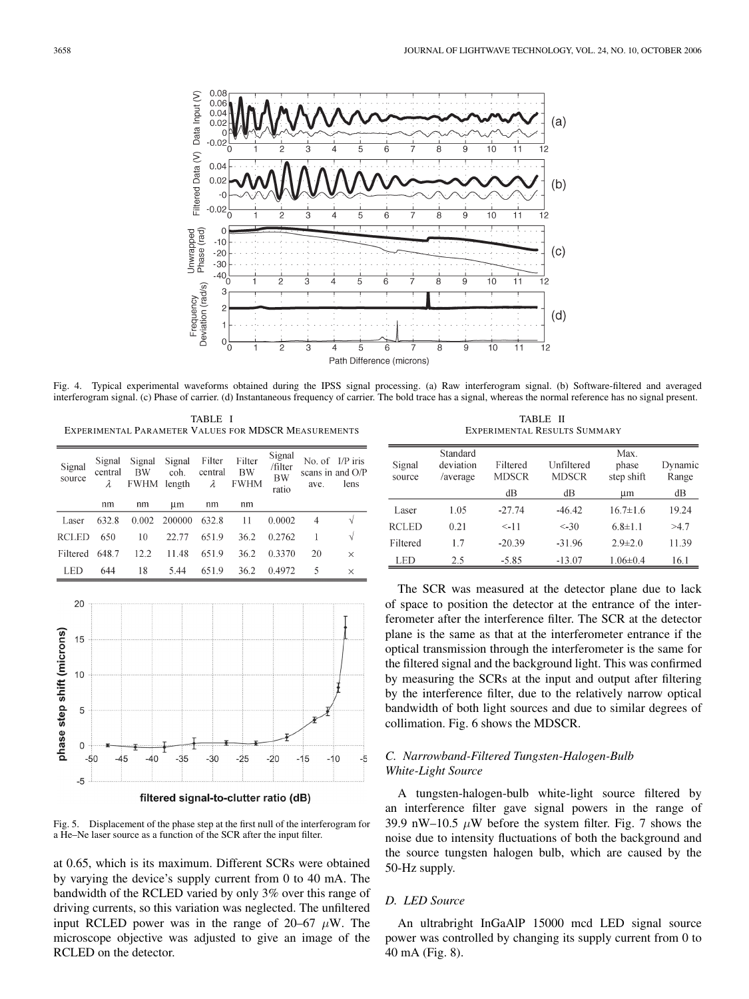

Fig. 4. Typical experimental waveforms obtained during the IPSS signal processing. (a) Raw interferogram signal. (b) Software-filtered and averaged interferogram signal. (c) Phase of carrier. (d) Instantaneous frequency of carrier. The bold trace has a signal, whereas the normal reference has no signal present.

TABLE I EXPERIMENTAL PARAMETER VALUES FOR MDSCR MEASUREMENTS

| Signal<br>source | Signal<br>central<br>λ | Signal<br><b>BW</b><br><b>FWHM</b> | Signal<br>coh.<br>length | Filter<br>central<br>λ | Filter<br>BW<br><b>FWHM</b> | Signal<br>/filter<br><b>BW</b><br>ratio | ave. | No. of I/P iris<br>scans in and O/P<br>lens |
|------------------|------------------------|------------------------------------|--------------------------|------------------------|-----------------------------|-----------------------------------------|------|---------------------------------------------|
|                  | nm                     | nm                                 | um                       | nm                     | nm                          |                                         |      |                                             |
| Laser            | 632.8                  | 0.002                              | 200000                   | 632.8                  | 11                          | 0.0002                                  | 4    | V                                           |
| <b>RCLED</b>     | 650                    | 10                                 | 22.77                    | 651.9                  | 36.2                        | 0.2762                                  |      | V                                           |
| Filtered         | 648.7                  | 12.2                               | 11.48                    | 651.9                  | 36.2                        | 0.3370                                  | 20   | $\times$                                    |
| LED              | 644                    | 18                                 | 5.44                     | 651.9                  | 36.2                        | 0.4972                                  | 5    | $\times$                                    |



filtered signal-to-clutter ratio (dB)

Fig. 5. Displacement of the phase step at the first null of the interferogram for a He–Ne laser source as a function of the SCR after the input filter.

at 0.65, which is its maximum. Different SCRs were obtained by varying the device's supply current from 0 to 40 mA. The bandwidth of the RCLED varied by only 3% over this range of driving currents, so this variation was neglected. The unfiltered input RCLED power was in the range of 20–67  $\mu$ W. The microscope objective was adjusted to give an image of the RCLED on the detector.

TABLE II EXPERIMENTAL RESULTS SUMMARY

| Signal<br>source | Standard<br>deviation<br>/average | Filtered<br><b>MDSCR</b> | Unfiltered<br><b>MDSCR</b> | Max.<br>phase<br>step shift | Dynamic<br>Range |  |
|------------------|-----------------------------------|--------------------------|----------------------------|-----------------------------|------------------|--|
|                  |                                   | dВ                       | dВ                         | um                          | dВ               |  |
| Laser            | 1.05                              | $-27.74$                 | $-46.42$                   | $16.7 \pm 1.6$              | 19.24            |  |
| <b>RCLED</b>     | 0.21                              | $< -11$                  | $< -30$                    | $6.8 \pm 1.1$               | >4.7             |  |
| Filtered         | 17                                | $-20.39$                 | $-31.96$                   | $2.9 \pm 2.0$               | 11.39            |  |
| LED              | 2.5                               | $-5.85$                  | $-13.07$                   | $1.06 \pm 0.4$              | 16.1             |  |

The SCR was measured at the detector plane due to lack of space to position the detector at the entrance of the interferometer after the interference filter. The SCR at the detector plane is the same as that at the interferometer entrance if the optical transmission through the interferometer is the same for the filtered signal and the background light. This was confirmed by measuring the SCRs at the input and output after filtering by the interference filter, due to the relatively narrow optical bandwidth of both light sources and due to similar degrees of collimation. Fig. 6 shows the MDSCR.

# *C. Narrowband-Filtered Tungsten-Halogen-Bulb White-Light Source*

A tungsten-halogen-bulb white-light source filtered by an interference filter gave signal powers in the range of 39.9 nW–10.5  $\mu$ W before the system filter. Fig. 7 shows the noise due to intensity fluctuations of both the background and the source tungsten halogen bulb, which are caused by the 50-Hz supply.

## *D. LED Source*

An ultrabright InGaAlP 15000 mcd LED signal source power was controlled by changing its supply current from 0 to 40 mA (Fig. 8).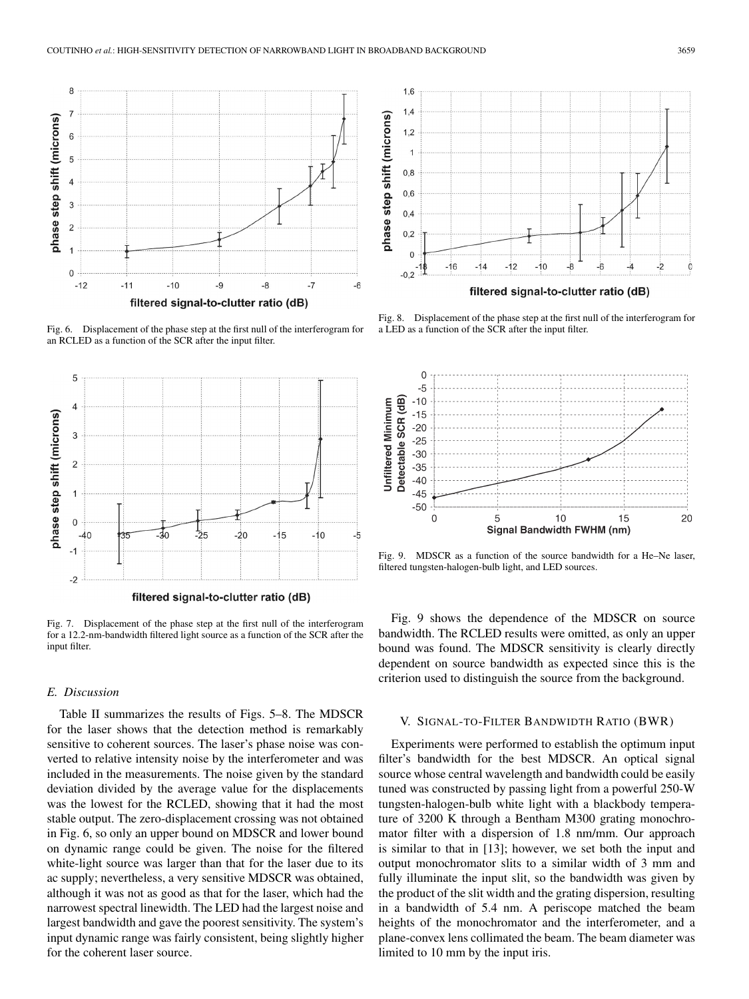

Fig. 6. Displacement of the phase step at the first null of the interferogram for an RCLED as a function of the SCR after the input filter.



Fig. 7. Displacement of the phase step at the first null of the interferogram for a 12.2-nm-bandwidth filtered light source as a function of the SCR after the input filter.

## *E. Discussion*

Table II summarizes the results of Figs. 5–8. The MDSCR for the laser shows that the detection method is remarkably sensitive to coherent sources. The laser's phase noise was converted to relative intensity noise by the interferometer and was included in the measurements. The noise given by the standard deviation divided by the average value for the displacements was the lowest for the RCLED, showing that it had the most stable output. The zero-displacement crossing was not obtained in Fig. 6, so only an upper bound on MDSCR and lower bound on dynamic range could be given. The noise for the filtered white-light source was larger than that for the laser due to its ac supply; nevertheless, a very sensitive MDSCR was obtained, although it was not as good as that for the laser, which had the narrowest spectral linewidth. The LED had the largest noise and largest bandwidth and gave the poorest sensitivity. The system's input dynamic range was fairly consistent, being slightly higher for the coherent laser source.



Fig. 8. Displacement of the phase step at the first null of the interferogram for a LED as a function of the SCR after the input filter.



Fig. 9. MDSCR as a function of the source bandwidth for a He–Ne laser, filtered tungsten-halogen-bulb light, and LED sources.

Fig. 9 shows the dependence of the MDSCR on source bandwidth. The RCLED results were omitted, as only an upper bound was found. The MDSCR sensitivity is clearly directly dependent on source bandwidth as expected since this is the criterion used to distinguish the source from the background.

#### V. SIGNAL-TO-FILTER BANDWIDTH RATIO (BWR)

Experiments were performed to establish the optimum input filter's bandwidth for the best MDSCR. An optical signal source whose central wavelength and bandwidth could be easily tuned was constructed by passing light from a powerful 250-W tungsten-halogen-bulb white light with a blackbody temperature of 3200 K through a Bentham M300 grating monochromator filter with a dispersion of 1.8 nm/mm. Our approach is similar to that in [13]; however, we set both the input and output monochromator slits to a similar width of 3 mm and fully illuminate the input slit, so the bandwidth was given by the product of the slit width and the grating dispersion, resulting in a bandwidth of 5.4 nm. A periscope matched the beam heights of the monochromator and the interferometer, and a plane-convex lens collimated the beam. The beam diameter was limited to 10 mm by the input iris.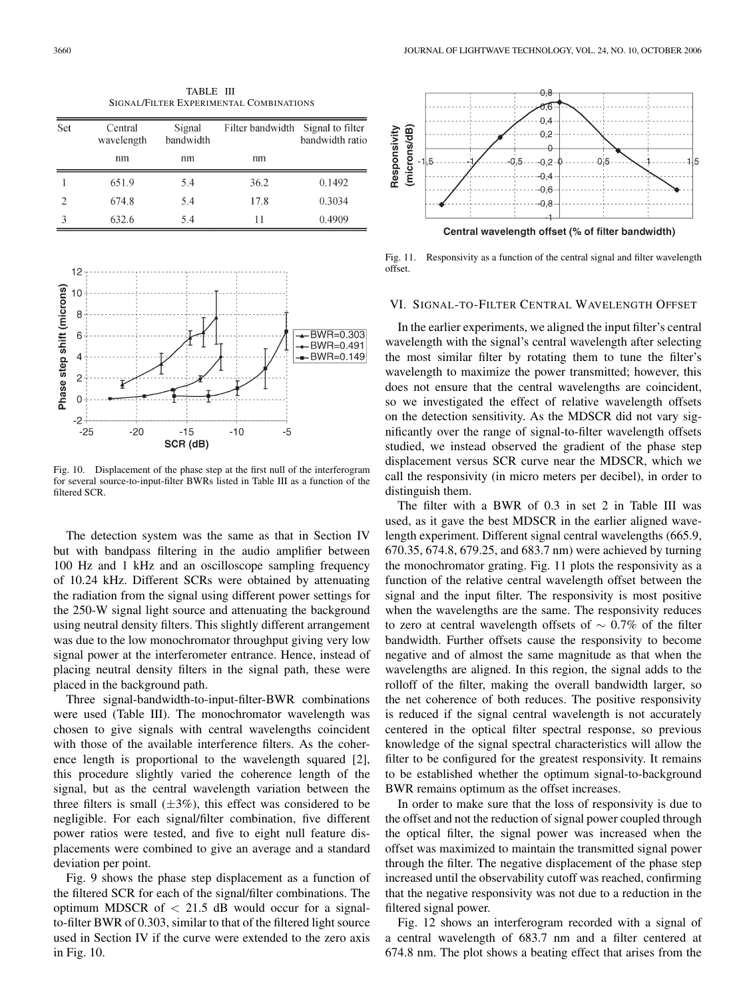TABLE III SIGNAL/FILTER EXPERIMENTAL COMBINATIONS

| Set            | Central<br>wavelength | Signal<br>bandwidth | Filter bandwidth Signal to filter | bandwidth ratio |  |
|----------------|-----------------------|---------------------|-----------------------------------|-----------------|--|
|                | nm                    | nm                  | nm                                |                 |  |
|                | 651.9                 | 5.4                 | 36.2                              | 0.1492          |  |
| $\overline{2}$ | 674.8                 | 5.4                 | 17.8                              | 0.3034          |  |
|                | 632.6                 | 5.4                 | 11                                | 0.4909          |  |



Fig. 10. Displacement of the phase step at the first null of the interferogram for several source-to-input-filter BWRs listed in Table III as a function of the filtered SCR.

The detection system was the same as that in Section IV but with bandpass filtering in the audio amplifier between 100 Hz and 1 kHz and an oscilloscope sampling frequency of 10.24 kHz. Different SCRs were obtained by attenuating the radiation from the signal using different power settings for the 250-W signal light source and attenuating the background using neutral density filters. This slightly different arrangement was due to the low monochromator throughput giving very low signal power at the interferometer entrance. Hence, instead of placing neutral density filters in the signal path, these were placed in the background path.

Three signal-bandwidth-to-input-filter-BWR combinations were used (Table III). The monochromator wavelength was chosen to give signals with central wavelengths coincident with those of the available interference filters. As the coherence length is proportional to the wavelength squared [2], this procedure slightly varied the coherence length of the signal, but as the central wavelength variation between the three filters is small  $(\pm 3\%)$ , this effect was considered to be negligible. For each signal/filter combination, five different power ratios were tested, and five to eight null feature displacements were combined to give an average and a standard deviation per point.

Fig. 9 shows the phase step displacement as a function of the filtered SCR for each of the signal/filter combinations. The optimum MDSCR of  $< 21.5$  dB would occur for a signalto-filter BWR of 0.303, similar to that of the filtered light source used in Section IV if the curve were extended to the zero axis in Fig. 10.



Fig. 11. Responsivity as a function of the central signal and filter wavelength offset.

## VI. SIGNAL-TO-FILTER CENTRAL WAVELENGTH OFFSET

In the earlier experiments, we aligned the input filter's central wavelength with the signal's central wavelength after selecting the most similar filter by rotating them to tune the filter's wavelength to maximize the power transmitted; however, this does not ensure that the central wavelengths are coincident, so we investigated the effect of relative wavelength offsets on the detection sensitivity. As the MDSCR did not vary significantly over the range of signal-to-filter wavelength offsets studied, we instead observed the gradient of the phase step displacement versus SCR curve near the MDSCR, which we call the responsivity (in micro meters per decibel), in order to distinguish them.

The filter with a BWR of 0.3 in set 2 in Table III was used, as it gave the best MDSCR in the earlier aligned wavelength experiment. Different signal central wavelengths (665.9, 670.35, 674.8, 679.25, and 683.7 nm) were achieved by turning the monochromator grating. Fig. 11 plots the responsivity as a function of the relative central wavelength offset between the signal and the input filter. The responsivity is most positive when the wavelengths are the same. The responsivity reduces to zero at central wavelength offsets of  $\sim 0.7\%$  of the filter bandwidth. Further offsets cause the responsivity to become negative and of almost the same magnitude as that when the wavelengths are aligned. In this region, the signal adds to the rolloff of the filter, making the overall bandwidth larger, so the net coherence of both reduces. The positive responsivity is reduced if the signal central wavelength is not accurately centered in the optical filter spectral response, so previous knowledge of the signal spectral characteristics will allow the filter to be configured for the greatest responsivity. It remains to be established whether the optimum signal-to-background BWR remains optimum as the offset increases.

In order to make sure that the loss of responsivity is due to the offset and not the reduction of signal power coupled through the optical filter, the signal power was increased when the offset was maximized to maintain the transmitted signal power through the filter. The negative displacement of the phase step increased until the observability cutoff was reached, confirming that the negative responsivity was not due to a reduction in the filtered signal power.

Fig. 12 shows an interferogram recorded with a signal of a central wavelength of 683.7 nm and a filter centered at 674.8 nm. The plot shows a beating effect that arises from the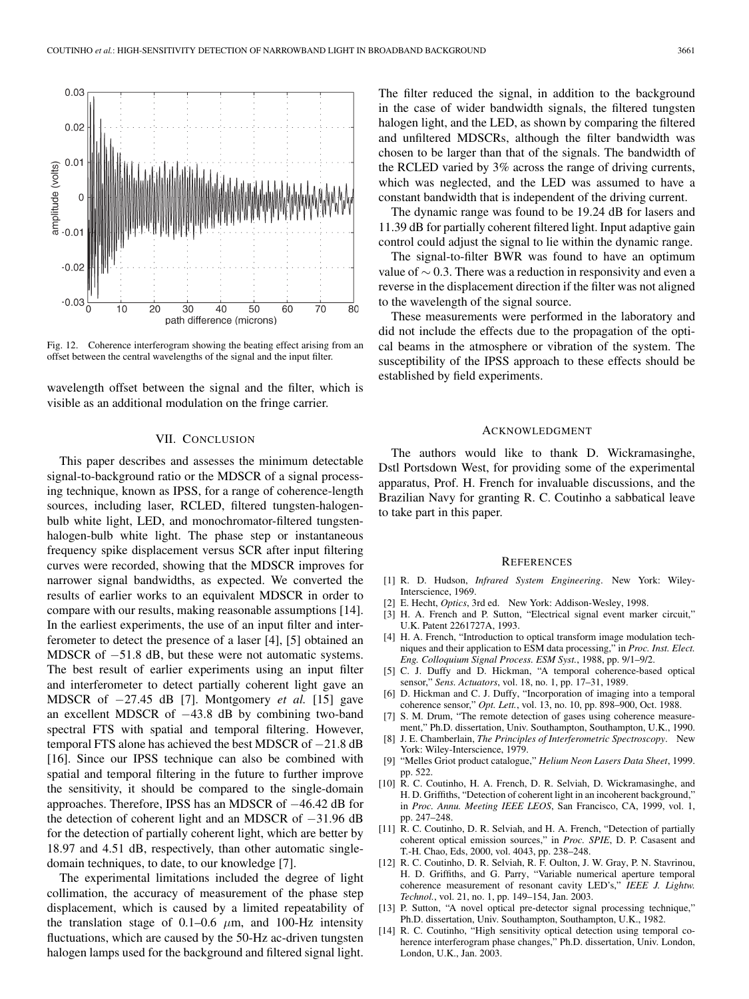

Fig. 12. Coherence interferogram showing the beating effect arising from an offset between the central wavelengths of the signal and the input filter.

wavelength offset between the signal and the filter, which is visible as an additional modulation on the fringe carrier.

#### VII. CONCLUSION

This paper describes and assesses the minimum detectable signal-to-background ratio or the MDSCR of a signal processing technique, known as IPSS, for a range of coherence-length sources, including laser, RCLED, filtered tungsten-halogenbulb white light, LED, and monochromator-filtered tungstenhalogen-bulb white light. The phase step or instantaneous frequency spike displacement versus SCR after input filtering curves were recorded, showing that the MDSCR improves for narrower signal bandwidths, as expected. We converted the results of earlier works to an equivalent MDSCR in order to compare with our results, making reasonable assumptions [14]. In the earliest experiments, the use of an input filter and interferometer to detect the presence of a laser [4], [5] obtained an MDSCR of −51.8 dB, but these were not automatic systems. The best result of earlier experiments using an input filter and interferometer to detect partially coherent light gave an MDSCR of −27.45 dB [7]. Montgomery *et al.* [15] gave an excellent MDSCR of −43.8 dB by combining two-band spectral FTS with spatial and temporal filtering. However, temporal FTS alone has achieved the best MDSCR of −21.8 dB [16]. Since our IPSS technique can also be combined with spatial and temporal filtering in the future to further improve the sensitivity, it should be compared to the single-domain approaches. Therefore, IPSS has an MDSCR of −46.42 dB for the detection of coherent light and an MDSCR of −31.96 dB for the detection of partially coherent light, which are better by 18.97 and 4.51 dB, respectively, than other automatic singledomain techniques, to date, to our knowledge [7].

The experimental limitations included the degree of light collimation, the accuracy of measurement of the phase step displacement, which is caused by a limited repeatability of the translation stage of 0.1–0.6  $\mu$ m, and 100-Hz intensity fluctuations, which are caused by the 50-Hz ac-driven tungsten halogen lamps used for the background and filtered signal light. The filter reduced the signal, in addition to the background in the case of wider bandwidth signals, the filtered tungsten halogen light, and the LED, as shown by comparing the filtered and unfiltered MDSCRs, although the filter bandwidth was chosen to be larger than that of the signals. The bandwidth of the RCLED varied by 3% across the range of driving currents, which was neglected, and the LED was assumed to have a constant bandwidth that is independent of the driving current.

The dynamic range was found to be 19.24 dB for lasers and 11.39 dB for partially coherent filtered light. Input adaptive gain control could adjust the signal to lie within the dynamic range.

The signal-to-filter BWR was found to have an optimum value of  $\sim$  0.3. There was a reduction in responsivity and even a reverse in the displacement direction if the filter was not aligned to the wavelength of the signal source.

These measurements were performed in the laboratory and did not include the effects due to the propagation of the optical beams in the atmosphere or vibration of the system. The susceptibility of the IPSS approach to these effects should be established by field experiments.

#### ACKNOWLEDGMENT

The authors would like to thank D. Wickramasinghe, Dstl Portsdown West, for providing some of the experimental apparatus, Prof. H. French for invaluable discussions, and the Brazilian Navy for granting R. C. Coutinho a sabbatical leave to take part in this paper.

#### **REFERENCES**

- [1] R. D. Hudson, *Infrared System Engineering*. New York: Wiley-Interscience, 1969.
- [2] E. Hecht, *Optics*, 3rd ed. New York: Addison-Wesley, 1998.
- [3] H. A. French and P. Sutton, "Electrical signal event marker circuit," U.K. Patent 2261727A, 1993.
- [4] H. A. French, "Introduction to optical transform image modulation techniques and their application to ESM data processing," in *Proc. Inst. Elect. Eng. Colloquium Signal Process. ESM Syst.*, 1988, pp. 9/1–9/2.
- [5] C. J. Duffy and D. Hickman, "A temporal coherence-based optical sensor," *Sens. Actuators*, vol. 18, no. 1, pp. 17–31, 1989.
- [6] D. Hickman and C. J. Duffy, "Incorporation of imaging into a temporal coherence sensor," *Opt. Lett.*, vol. 13, no. 10, pp. 898–900, Oct. 1988.
- [7] S. M. Drum, "The remote detection of gases using coherence measurement," Ph.D. dissertation, Univ. Southampton, Southampton, U.K., 1990.
- [8] J. E. Chamberlain, *The Principles of Interferometric Spectroscopy*. New York: Wiley-Interscience, 1979.
- [9] "Melles Griot product catalogue," *Helium Neon Lasers Data Sheet*, 1999. pp. 522.
- [10] R. C. Coutinho, H. A. French, D. R. Selviah, D. Wickramasinghe, and H. D. Griffiths, "Detection of coherent light in an incoherent background," in *Proc. Annu. Meeting IEEE LEOS*, San Francisco, CA, 1999, vol. 1, pp. 247–248.
- [11] R. C. Coutinho, D. R. Selviah, and H. A. French, "Detection of partially coherent optical emission sources," in *Proc. SPIE*, D. P. Casasent and T.-H. Chao, Eds, 2000, vol. 4043, pp. 238–248.
- [12] R. C. Coutinho, D. R. Selviah, R. F. Oulton, J. W. Gray, P. N. Stavrinou, H. D. Griffiths, and G. Parry, "Variable numerical aperture temporal coherence measurement of resonant cavity LED's," *IEEE J. Lightw. Technol.*, vol. 21, no. 1, pp. 149–154, Jan. 2003.
- [13] P. Sutton, "A novel optical pre-detector signal processing technique," Ph.D. dissertation, Univ. Southampton, Southampton, U.K., 1982.
- [14] R. C. Coutinho, "High sensitivity optical detection using temporal coherence interferogram phase changes," Ph.D. dissertation, Univ. London, London, U.K., Jan. 2003.